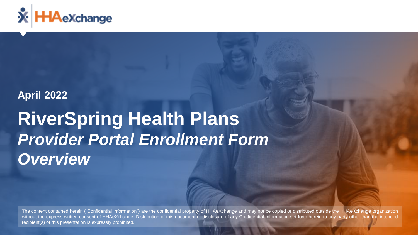

## **April 2022**

# **RiverSpring Health Plans** *Provider Portal Enrollment Form Overview*

The content contained herein ("Confidential Information") are the confidential property of HHAeXchange and may not be copied or distributed outside the HHAeXchange organization without the express written consent of HHAeXchange. Distribution of this document or disclosure of any Confidential Information set forth herein to any party other than the intended recipient(s) of this presentation is expressly prohibited.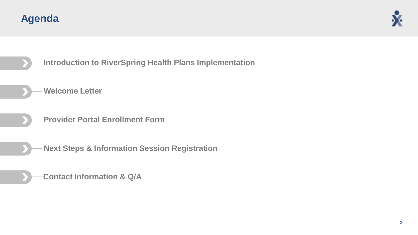





- **Welcome Letter**
- **Provider Portal Enrollment Form**
- **Next Steps & Information Session Registration**
	- **Contact Information & Q/A**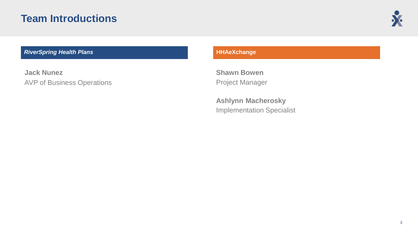## **Team Introductions**



#### **RiverSpring Health Plans Health Alans Health Alans Health Alans Health Alans Health Alans Health Health**

**Jack Nunez** AVP of Business Operations

**Shawn Bowen** Project Manager

**Ashlynn Macherosky** Implementation Specialist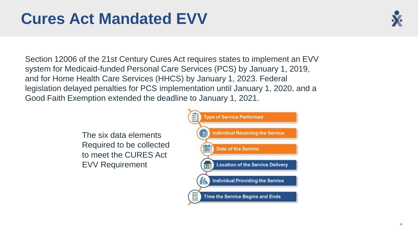## **Cures Act Mandated EVV**



Section 12006 of the 21st Century Cures Act requires states to implement an EVV system for Medicaid-funded Personal Care Services (PCS) by January 1, 2019, and for Home Health Care Services (HHCS) by January 1, 2023. Federal legislation delayed penalties for PCS implementation until January 1, 2020, and a Good Faith Exemption extended the deadline to January 1, 2021.

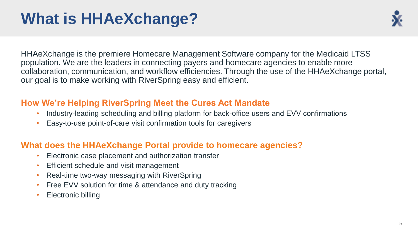## **What is HHAeXchange?**



HHAeXchange is the premiere Homecare Management Software company for the Medicaid LTSS population. We are the leaders in connecting payers and homecare agencies to enable more collaboration, communication, and workflow efficiencies. Through the use of the HHAeXchange portal, our goal is to make working with RiverSpring easy and efficient.

## **How We're Helping RiverSpring Meet the Cures Act Mandate**

- Industry-leading scheduling and billing platform for back-office users and EVV confirmations
- Easy-to-use point-of-care visit confirmation tools for caregivers

## **What does the HHAeXchange Portal provide to homecare agencies?**

- Electronic case placement and authorization transfer
- Efficient schedule and visit management
- Real-time two-way messaging with RiverSpring
- Free EVV solution for time & attendance and duty tracking
- Electronic billing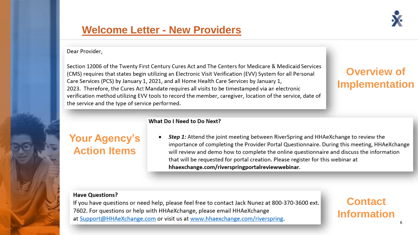

## **[Welcome Letter -](https://mailchi.mp/d1fe05dc6060/aetna-ny-and-hhaexchange-welcome-letter-5512445) New Providers**

#### Dear Provider,

Section 12006 of the Twenty First Century Cures Act and The Centers for Medicare & Medicaid Services (CMS) requires that states begin utilizing an Electronic Visit Verification (EVV) System for all Personal Care Services (PCS) by January 1, 2021, and all Home Health Care Services by January 1, 2023. Therefore, the Cures Act Mandate requires all visits to be timestamped via an electronic verification method utilizing EVV tools to record the member, caregiver, location of the service, date of the service and the type of service performed.

## **Overview of Implementation**

#### What Do I Need to Do Next?

## **Your Agency's Action Items**

Step 1: Attend the joint meeting between RiverSpring and HHAeXchange to review the importance of completing the Provider Portal Questionnaire. During this meeting, HHAeXchange will review and demo how to complete the online questionnaire and discuss the information that will be requested for portal creation. Please register for this webinar at hhaexchange.com/riverspringportalreviewwebinar.

#### **Have Ouestions?**

If you have questions or need help, please feel free to contact Jack Nunez at 800-370-3600 ext. 7602. For questions or help with HHAeXchange, please email HHAeXchange at Support@HHAeXchange.com or visit us at www.hhaexchange.com/riverspring.

**Contact Information**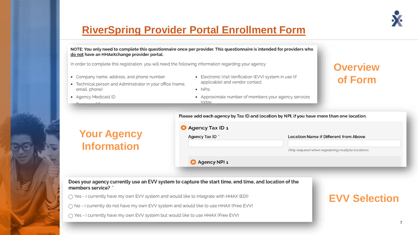

## **[RiverSpring Provider Portal Enrollment Form](https://www.cognitoforms.com/HHAeXchange1/riverspringproviderportalenrollmentform)**

| do not have an HHAeXchange provider portal.<br>• Company name, address, and phone number<br>• Technical person and Administrator in your office (name,<br>email, phone)<br>• Agency Medicaid ID | In order to complete this registration, you will need the following information regarding your agency:<br>· Electronic Visit Verification (EVV) system in use (if<br>applicable) and vendor contact<br>$\cdot$ NPIs<br>• Approximate number of members your agency services | <b>Overview</b><br>of Form                         |
|-------------------------------------------------------------------------------------------------------------------------------------------------------------------------------------------------|-----------------------------------------------------------------------------------------------------------------------------------------------------------------------------------------------------------------------------------------------------------------------------|----------------------------------------------------|
|                                                                                                                                                                                                 | todav                                                                                                                                                                                                                                                                       |                                                    |
|                                                                                                                                                                                                 | Please add each agency by Tax ID and location by NPI, if you have more than one location.                                                                                                                                                                                   |                                                    |
| <b>Your Agency</b><br><b>Information</b>                                                                                                                                                        | <b>3</b> Agency Tax ID 1<br>Agency Tax ID *                                                                                                                                                                                                                                 | <b>Location Name if Different from Above</b>       |
|                                                                                                                                                                                                 |                                                                                                                                                                                                                                                                             | Only required when registering multiple locations. |
|                                                                                                                                                                                                 | <b>3</b> Agency NPI 1                                                                                                                                                                                                                                                       |                                                    |
|                                                                                                                                                                                                 |                                                                                                                                                                                                                                                                             |                                                    |
| members service? *                                                                                                                                                                              | Does your agency currently use an EVV system to capture the start time, end time, and location of the                                                                                                                                                                       |                                                    |
|                                                                                                                                                                                                 | $\bigcap$ Yes - I currently have my own EVV system and would like to integrate with HHAX (EDI)                                                                                                                                                                              | <b>EVV Selection</b>                               |
|                                                                                                                                                                                                 |                                                                                                                                                                                                                                                                             |                                                    |
|                                                                                                                                                                                                 | $\cap$ No - I currently do not have my own EVV system and would like to use HHAX (Free EVV)                                                                                                                                                                                 |                                                    |

#### 7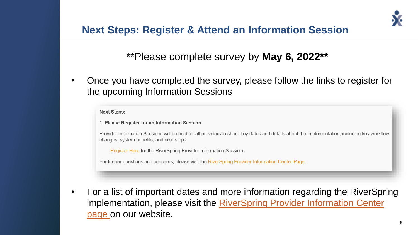## **Next Steps: Register & Attend an Information Session**

## \*\*Please complete survey by **May 6, 2022\*\***

• Once you have completed the survey, please follow the links to register for the upcoming Information Sessions

**Next Steps:** 

1. Please Register for an Information Session

Provider Information Sessions will be held for all providers to share key dates and details about the implementation, including key workflow changes, system benefits, and next steps.

Register Here for the RiverSpring Provider Information Sessions

For further questions and concerns, please visit the RiverSpring Provider Information Center Page.

• For a list of important dates and more information regarding the RiverSpring [implementation, please visit the RiverSpring Provider Information Center](http://www.hhaexchange.com/riverspring)  page on our website.